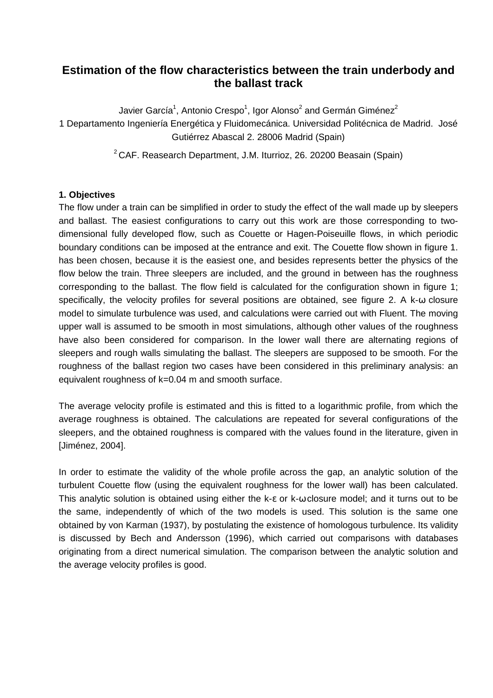# **Estimation of the flow characteristics between the train underbody and the ballast track**

Javier García<sup>1</sup>, Antonio Crespo<sup>1</sup>, Igor Alonso<sup>2</sup> and Germán Giménez<sup>2</sup> 1 Departamento Ingeniería Energética y Fluidomecánica. Universidad Politécnica de Madrid. José Gutiérrez Abascal 2. 28006 Madrid (Spain)

 $2^2$ CAF. Reasearch Department, J.M. Iturrioz, 26. 20200 Beasain (Spain)

## **1. Objectives**

The flow under a train can be simplified in order to study the effect of the wall made up by sleepers and ballast. The easiest configurations to carry out this work are those corresponding to twodimensional fully developed flow, such as Couette or Hagen-Poiseuille flows, in which periodic boundary conditions can be imposed at the entrance and exit. The Couette flow shown in figure 1. has been chosen, because it is the easiest one, and besides represents better the physics of the flow below the train. Three sleepers are included, and the ground in between has the roughness corresponding to the ballast. The flow field is calculated for the configuration shown in figure 1; specifically, the velocity profiles for several positions are obtained, see figure 2. A k-ω closure model to simulate turbulence was used, and calculations were carried out with Fluent. The moving upper wall is assumed to be smooth in most simulations, although other values of the roughness have also been considered for comparison. In the lower wall there are alternating regions of sleepers and rough walls simulating the ballast. The sleepers are supposed to be smooth. For the roughness of the ballast region two cases have been considered in this preliminary analysis: an equivalent roughness of k=0.04 m and smooth surface.

The average velocity profile is estimated and this is fitted to a logarithmic profile, from which the average roughness is obtained. The calculations are repeated for several configurations of the sleepers, and the obtained roughness is compared with the values found in the literature, given in [Jiménez, 2004].

In order to estimate the validity of the whole profile across the gap, an analytic solution of the turbulent Couette flow (using the equivalent roughness for the lower wall) has been calculated. This analytic solution is obtained using either the k-ε or k-ω closure model; and it turns out to be the same, independently of which of the two models is used. This solution is the same one obtained by von Karman (1937), by postulating the existence of homologous turbulence. Its validity is discussed by Bech and Andersson (1996), which carried out comparisons with databases originating from a direct numerical simulation. The comparison between the analytic solution and the average velocity profiles is good.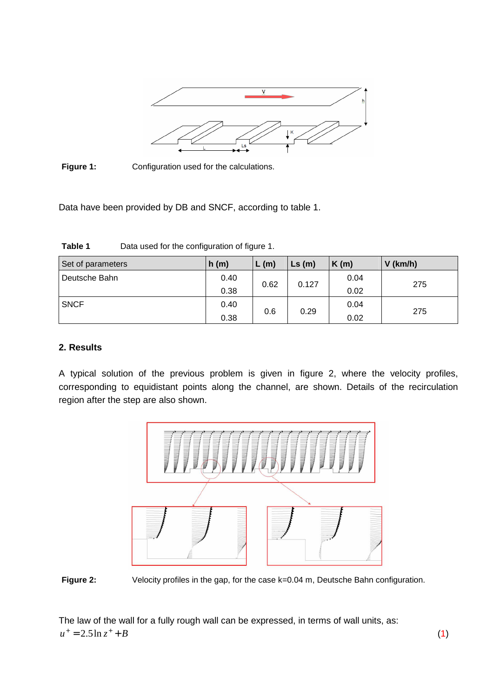

Figure 1: Configuration used for the calculations.

Data have been provided by DB and SNCF, according to table 1.

| Set of parameters | h(m) | L(m)        | $\mathsf{Ls}(\mathsf{m})$ | K(m) | $V$ (km/h) |  |
|-------------------|------|-------------|---------------------------|------|------------|--|
| Deutsche Bahn     | 0.40 |             | 0.127                     | 0.04 | 275        |  |
|                   | 0.38 | 0.62        |                           | 0.02 |            |  |
| <b>SNCF</b>       | 0.40 | 0.6<br>0.29 |                           | 0.04 |            |  |
|                   | 0.38 |             | 0.02                      | 275  |            |  |

Table 1 **Data used for the configuration of figure 1.** 

### **2. Results**

A typical solution of the previous problem is given in figure 2, where the velocity profiles, corresponding to equidistant points along the channel, are shown. Details of the recirculation region after the step are also shown.



Figure 2: Velocity profiles in the gap, for the case k=0.04 m, Deutsche Bahn configuration.

The law of the wall for a fully rough wall can be expressed, in terms of wall units, as:  $u^+ = 2.5 \ln z^+ + B$ (1)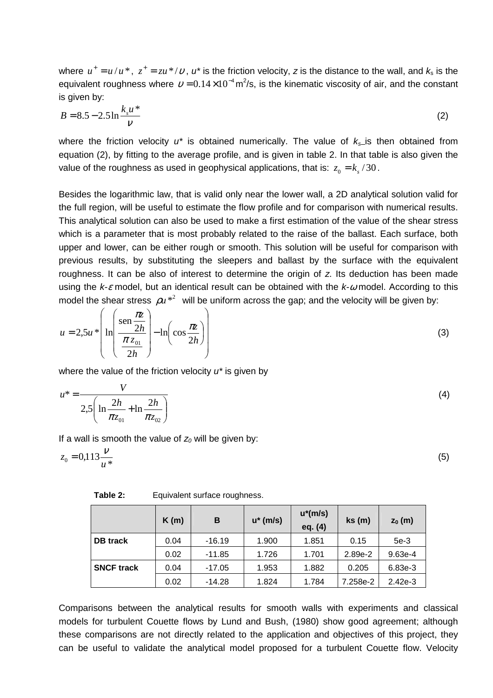where  $u^+ = u/u^*$ ,  $z^+ = zu^*/v$ ,  $u^*$  is the friction velocity, z is the distance to the wall, and  $k_s$  is the equivalent roughness where  $v = 0.14 \times 10^{-4}$  m<sup>2</sup>/s, is the kinematic viscosity of air, and the constant is given by:

$$
B = 8.5 - 2.5 \ln \frac{k_s u^*}{v}
$$
 (2)

where the friction velocity  $u^*$  is obtained numerically. The value of  $k_{\rm e}$  is then obtained from equation (2), by fitting to the average profile, and is given in table 2. In that table is also given the value of the roughness as used in geophysical applications, that is:  $z_0 = k_s / 30$ .

Besides the logarithmic law, that is valid only near the lower wall, a 2D analytical solution valid for the full region, will be useful to estimate the flow profile and for comparison with numerical results. This analytical solution can also be used to make a first estimation of the value of the shear stress which is a parameter that is most probably related to the raise of the ballast. Each surface, both upper and lower, can be either rough or smooth. This solution will be useful for comparison with previous results, by substituting the sleepers and ballast by the surface with the equivalent roughness. It can be also of interest to determine the origin of z. Its deduction has been made using the  $k-\varepsilon$  model, but an identical result can be obtained with the  $k-\omega$  model. According to this model the shear stress  $\rho u^{\ast 2}$  will be uniform across the gap; and the velocity will be given by:

$$
u = 2.5u \sqrt[*]{\ln\left(\frac{\operatorname{sen} \frac{\pi z}{2h}}{\frac{\pi z_{01}}{2h}}\right)} - \ln\left(\cos\frac{\pi z}{2h}\right)}
$$
(3)

where the value of the friction velocity  $u^*$  is given by

$$
u^* = \frac{V}{2.5\left(\ln\frac{2h}{\pi z_{01}} + \ln\frac{2h}{\pi z_{02}}\right)}
$$
(4)

If a wall is smooth the value of  $z_0$  will be given by:

$$
z_0 = 0.113 \frac{V}{u^*}
$$
 (5)

**Table 2:** Equivalent surface roughness.

|                   | K(m) | B        | $u^*$ (m/s) | $u^*(m/s)$<br>eq. (4) | ks(m)    | $z_0$ (m) |
|-------------------|------|----------|-------------|-----------------------|----------|-----------|
| <b>DB</b> track   | 0.04 | $-16.19$ | 1.900       | 1.851                 | 0.15     | $5e-3$    |
|                   | 0.02 | $-11.85$ | 1.726       | 1.701                 | 2.89e-2  | $9.63e-4$ |
| <b>SNCF track</b> | 0.04 | $-17.05$ | 1.953       | 1.882                 | 0.205    | 6.83e-3   |
|                   | 0.02 | $-14.28$ | 1.824       | 1.784                 | 7.258e-2 | $2.42e-3$ |

Comparisons between the analytical results for smooth walls with experiments and classical models for turbulent Couette flows by Lund and Bush, (1980) show good agreement; although these comparisons are not directly related to the application and objectives of this project, they can be useful to validate the analytical model proposed for a turbulent Couette flow. Velocity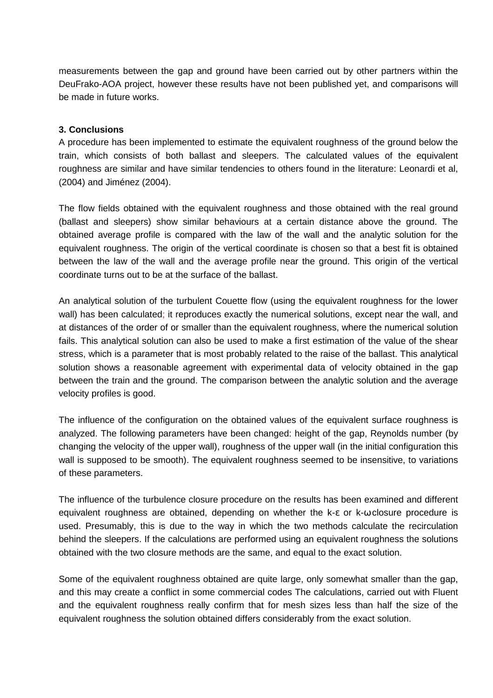measurements between the gap and ground have been carried out by other partners within the DeuFrako-AOA project, however these results have not been published yet, and comparisons will be made in future works.

#### **3. Conclusions**

A procedure has been implemented to estimate the equivalent roughness of the ground below the train, which consists of both ballast and sleepers. The calculated values of the equivalent roughness are similar and have similar tendencies to others found in the literature: Leonardi et al, (2004) and Jiménez (2004).

The flow fields obtained with the equivalent roughness and those obtained with the real ground (ballast and sleepers) show similar behaviours at a certain distance above the ground. The obtained average profile is compared with the law of the wall and the analytic solution for the equivalent roughness. The origin of the vertical coordinate is chosen so that a best fit is obtained between the law of the wall and the average profile near the ground. This origin of the vertical coordinate turns out to be at the surface of the ballast.

An analytical solution of the turbulent Couette flow (using the equivalent roughness for the lower wall) has been calculated; it reproduces exactly the numerical solutions, except near the wall, and at distances of the order of or smaller than the equivalent roughness, where the numerical solution fails. This analytical solution can also be used to make a first estimation of the value of the shear stress, which is a parameter that is most probably related to the raise of the ballast. This analytical solution shows a reasonable agreement with experimental data of velocity obtained in the gap between the train and the ground. The comparison between the analytic solution and the average velocity profiles is good.

The influence of the configuration on the obtained values of the equivalent surface roughness is analyzed. The following parameters have been changed: height of the gap, Reynolds number (by changing the velocity of the upper wall), roughness of the upper wall (in the initial configuration this wall is supposed to be smooth). The equivalent roughness seemed to be insensitive, to variations of these parameters.

The influence of the turbulence closure procedure on the results has been examined and different equivalent roughness are obtained, depending on whether the k-ε or k-ω closure procedure is used. Presumably, this is due to the way in which the two methods calculate the recirculation behind the sleepers. If the calculations are performed using an equivalent roughness the solutions obtained with the two closure methods are the same, and equal to the exact solution.

Some of the equivalent roughness obtained are quite large, only somewhat smaller than the gap, and this may create a conflict in some commercial codes The calculations, carried out with Fluent and the equivalent roughness really confirm that for mesh sizes less than half the size of the equivalent roughness the solution obtained differs considerably from the exact solution.